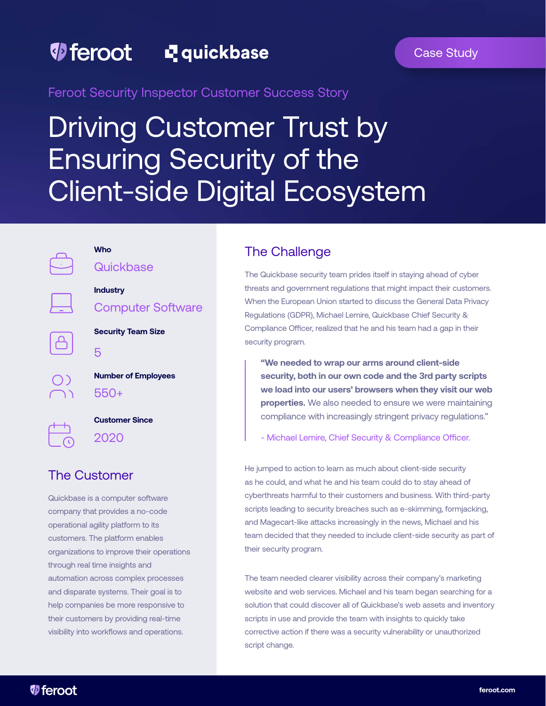## *D* feroot L<sub>quickbase</sub>

## Case Study

Feroot Security Inspector Customer Success Story

# Driving Customer Trust by Ensuring Security of the Client-side Digital Ecosystem



## **Who**

5

**Quickbase** 

**Industry**  Computer Software

**Security Team Size**

| <b>Number of Employees</b> |
|----------------------------|
| 550+                       |

 $\bigcirc$ 

**Customer Since**  2020

# The Customer

Quickbase is a computer software company that provides a no-code operational agility platform to its customers. The platform enables organizations to improve their operations through real time insights and automation across complex processes and disparate systems. Their goal is to help companies be more responsive to their customers by providing real-time visibility into workflows and operations.

## The Challenge

The Quickbase security team prides itself in staying ahead of cyber threats and government regulations that might impact their customers. When the European Union started to discuss the General Data Privacy Regulations (GDPR), Michael Lemire, Quickbase Chief Security & Compliance Officer, realized that he and his team had a gap in their security program.

**"We needed to wrap our arms around client-side security, both in our own code and the 3rd party scripts we load into our users' browsers when they visit our web properties.** We also needed to ensure we were maintaining compliance with increasingly stringent privacy regulations."

- Michael Lemire, Chief Security & Compliance Officer.

He jumped to action to learn as much about client-side security as he could, and what he and his team could do to stay ahead of cyberthreats harmful to their customers and business. With third-party scripts leading to security breaches such as e-skimming, formjacking, and Magecart-like attacks increasingly in the news, Michael and his team decided that they needed to include client-side security as part of their security program.

The team needed clearer visibility across their company's marketing website and web services. Michael and his team began searching for a solution that could discover all of Quickbase's web assets and inventory scripts in use and provide the team with insights to quickly take corrective action if there was a security vulnerability or unauthorized script change.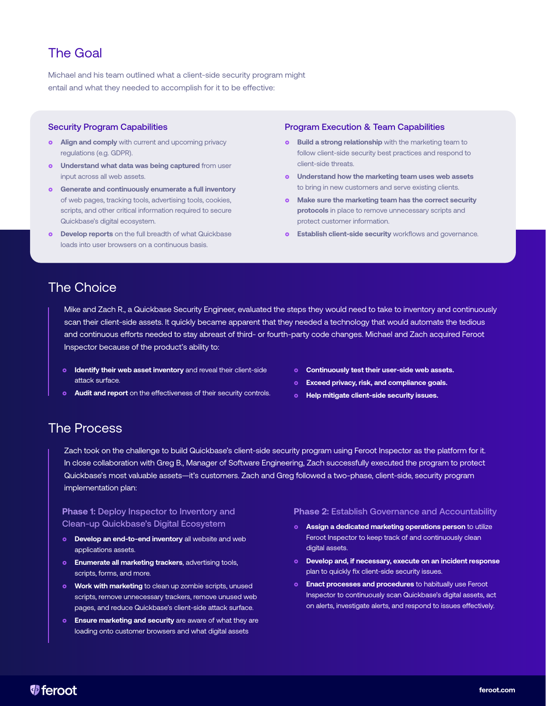# The Goal

Michael and his team outlined what a client-side security program might entail and what they needed to accomplish for it to be effective:

### Security Program Capabilities

- **o** Align and comply with current and upcoming privacy regulations (e.g. GDPR).
- **o** Understand what data was being captured from user input across all web assets.
- **o** Generate and continuously enumerate a full inventory of web pages, tracking tools, advertising tools, cookies, scripts, and other critical information required to secure Quickbase's digital ecosystem.
- **o** Develop reports on the full breadth of what Quickbase loads into user browsers on a continuous basis.

### Program Execution & Team Capabilities

- **o** Build a strong relationship with the marketing team to follow client-side security best practices and respond to client-side threats.
- **<sup>o</sup>** Understand how the marketing team uses web assets to bring in new customers and serve existing clients.
- **o** Make sure the marketing team has the correct security **protocols** in place to remove unnecessary scripts and protect customer information.
- **o** Establish client-side security workflows and governance.

## The Choice

Mike and Zach R., a Quickbase Security Engineer, evaluated the steps they would need to take to inventory and continuously scan their client-side assets. It quickly became apparent that they needed a technology that would automate the tedious and continuous efforts needed to stay abreast of third- or fourth-party code changes. Michael and Zach acquired Feroot Inspector because of the product's ability to:

- **o** Identify their web asset inventory and reveal their client-side attack surface.
- **Audit and report** on the effectiveness of their security controls.
- **<sup>o</sup>** Continuously test their user-side web assets.
- **<sup>o</sup>** Exceed privacy, risk, and compliance goals.
- **<sup>o</sup>** Help mitigate client-side security issues.

## The Process

Zach took on the challenge to build Quickbase's client-side security program using Feroot Inspector as the platform for it. In close collaboration with Greg B., Manager of Software Engineering, Zach successfully executed the program to protect Quickbase's most valuable assets—it's customers. Zach and Greg followed a two-phase, client-side, security program implementation plan:

## **Phase 1:** Deploy Inspector to Inventory and Clean-up Quickbase's Digital Ecosystem

- **o** Develop an end-to-end inventory all website and web applications assets.
- **o** Enumerate all marketing trackers, advertising tools, scripts, forms, and more.
- **Work with marketing** to clean up zombie scripts, unused scripts, remove unnecessary trackers, remove unused web pages, and reduce Quickbase's client-side attack surface.
- **o** Ensure marketing and security are aware of what they are loading onto customer browsers and what digital assets

#### **Phase 2:** Establish Governance and Accountability

- } **Assign a dedicated marketing operations person** to utilize Feroot Inspector to keep track of and continuously clean digital assets.
- **o** Develop and, if necessary, execute on an incident response plan to quickly fix client-side security issues.
- **e** Enact processes and procedures to habitually use Feroot Inspector to continuously scan Quickbase's digital assets, act on alerts, investigate alerts, and respond to issues effectively.